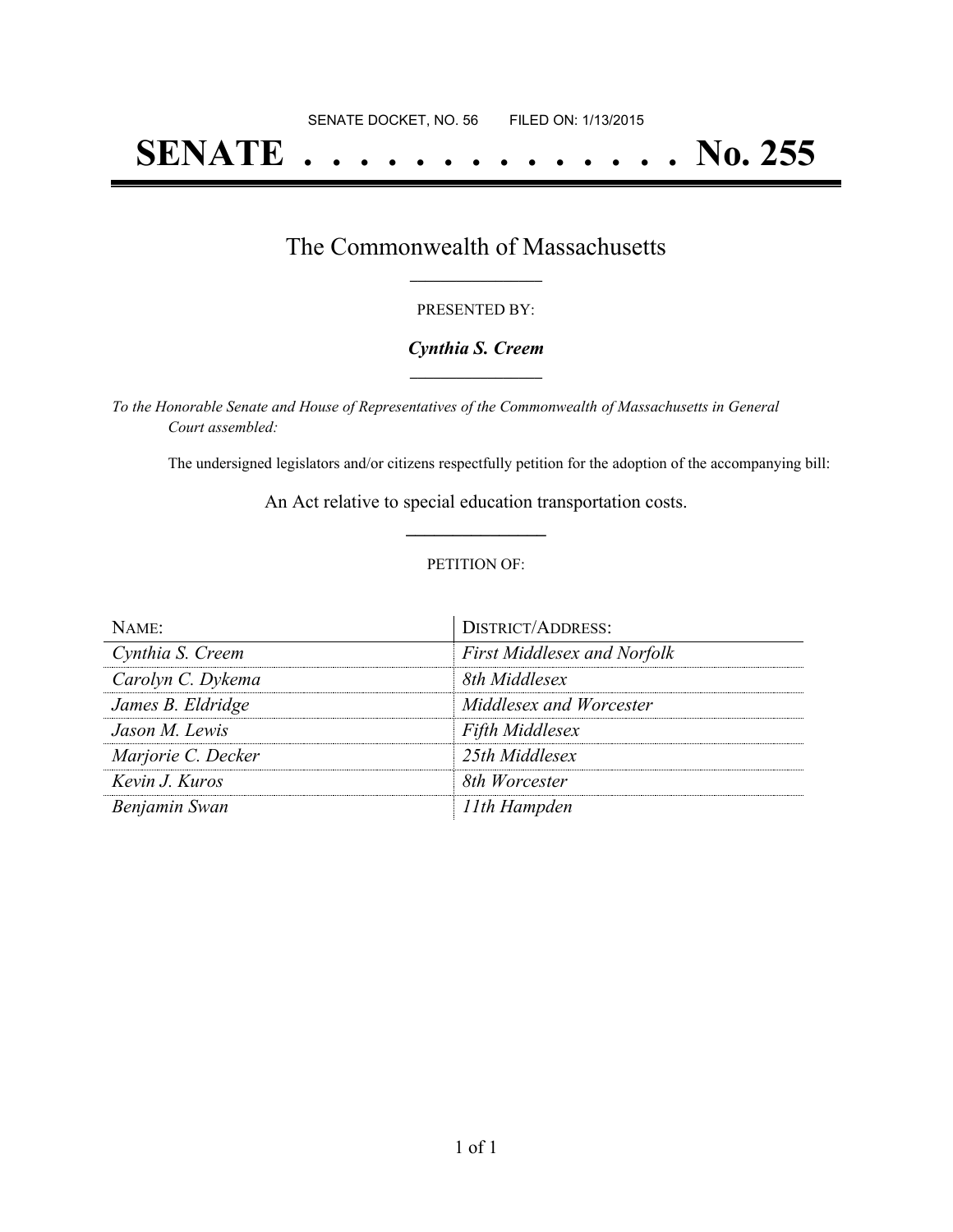# **SENATE . . . . . . . . . . . . . . No. 255**

## The Commonwealth of Massachusetts **\_\_\_\_\_\_\_\_\_\_\_\_\_\_\_\_\_**

#### PRESENTED BY:

#### *Cynthia S. Creem* **\_\_\_\_\_\_\_\_\_\_\_\_\_\_\_\_\_**

*To the Honorable Senate and House of Representatives of the Commonwealth of Massachusetts in General Court assembled:*

The undersigned legislators and/or citizens respectfully petition for the adoption of the accompanying bill:

An Act relative to special education transportation costs. **\_\_\_\_\_\_\_\_\_\_\_\_\_\_\_**

#### PETITION OF:

| $N$ AME:           | <b>DISTRICT/ADDRESS:</b>           |
|--------------------|------------------------------------|
| Cynthia S. Creem   | <b>First Middlesex and Norfolk</b> |
| Carolyn C. Dykema  | 8th Middlesex                      |
| James B. Eldridge  | Middlesex and Worcester            |
| Jason M. Lewis     | <b>Fifth Middlesex</b>             |
| Marjorie C. Decker | 25th Middlesex                     |
| Kevin J. Kuros     | 8th Worcester                      |
| Benjamin Swan      | 11th Hampden                       |